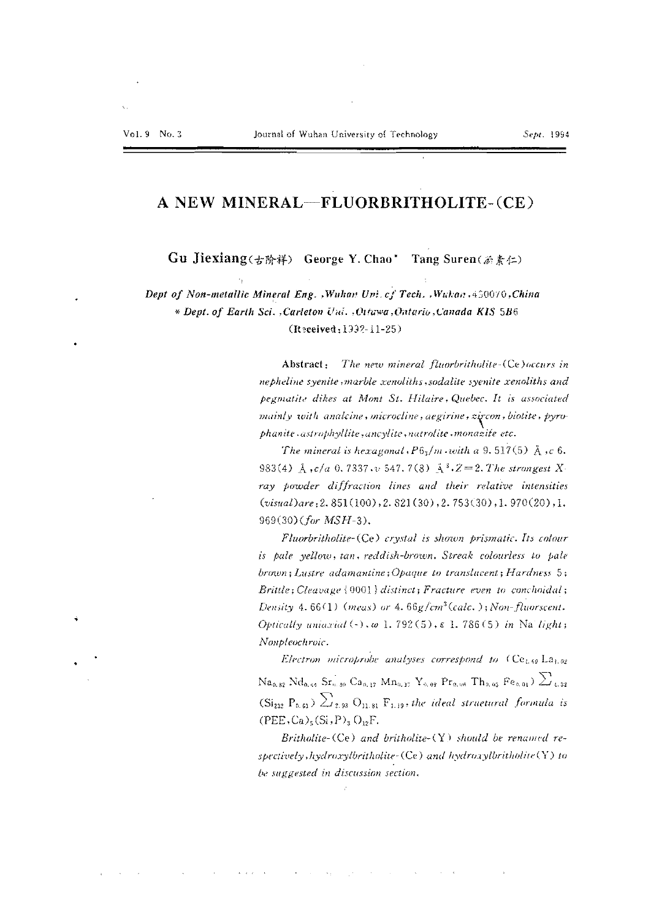# A NEW MINERAL-FLUORBRITHOLITE-(CE)

Gu Jiexiang(古阶祥) George Y. Chao\* Tang Suren $(\&\&\&\in\cap)$ 

Dept of Non-metallic Mineral Eng. , Wuhan Uni. cf Tech. , Wuhan , 450070, China \* Dept. of Earth Sci. , Carleton Uni. , Ottawa, Ontario, Canada KIS 5B6 (Received: 1992-11-25)

> Abstract: The new mineral fluorbritholite (Ce) occurs in nepheline syenite, marble xenoliths, sodalite syenite xenoliths and pegmatite dikes at Mont St. Hilaire, Quebec. It is associated mainly with analcine, microcline, aegirine, zircon, biotite, pyrophanite astrophyllite, ancylite, natrolite monazite etc.

> The mineral is hexagonal,  $P6_3/m$  with a 9.517(5)  $\AA$ , c 6. 983(4) Å  $,c/a$  0.7337  $\cdot v$  547.7(8) Å<sup>3</sup> $\cdot Z = 2$ . The strongest X ray powder diffraction lines and their relative intensities  $(visual)$ are: 2. 851(100). 2. 821(30). 2. 753(30). 1. 970(20). 1.  $969(30) (for MSH-3).$

> Fluorbritholite-(Ce) crystal is shown prismatic. Its colour is pale yellow, tan, reddish-brown. Streak colourless to pale brown; Lustre adamantine; Opaque to translucent; Hardness 5; Brittle; Cleavage { 0001 } distinct; Fracture even to conchoidal; Density 4.66(1) (meas) or 4.66g/cm<sup>3</sup>(calc.); Non-fluorscent. Optically uniarial  $(\cdot)$ , w 1.792(5),  $\varepsilon$  1.786(5) in Na light; Nonpleochroic.

> Electron microprobe analyses correspond to (Ce<sub>1.69</sub> La<sub>1.02</sub>)  $\text{Na}_{9.82} \text{Nd}_{9.54} \text{Sr}_{9.39} \text{Ca}_{9.17} \text{Mn}_{9.17} \text{Y}_{9.98} \text{Pr}_{9.95} \text{Th}_{9.95} \text{Fe}_{9.91} \text{Z}_{4.32}$  $(Si_{232} P_{0.61}) \sum_{2.93} O_{11.81} F_{1.19}$ , the ideal structural formula is  $(PEE, Ca)_{5}(Si, P)_{3}O_{12}F.$

> Britholite- $(Ce)$  and britholite- $(Y)$  should be renamed respectively, hydroxylbritholite-(Ce) and hydroxylbritholite(Y) to be suggested in discussion section.

 $\mathcal{L}(\mathcal{A})$  and  $\mathcal{L}(\mathcal{A})$  are the properties of the contribution of  $\mathcal{A}$  .

 $\mathbf{A}=\mathbf{q}$  ,  $\mathbf{q}^{\prime}$  ,  $\mathbf{q}^{\prime}$  ,  $\mathbf{q}^{\prime}$  ,  $\mathbf{q}^{\prime}$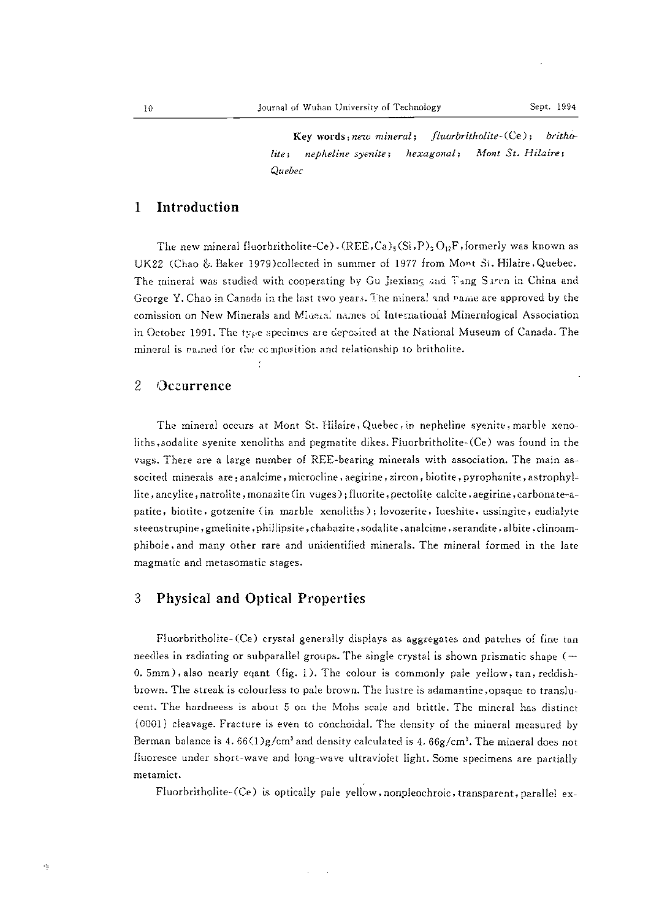**Key words:** *new mineral;* fltwrbritholite~CCe) ; *britlu) lite; nepheline syenite; hexagonal; 1\.10nt St. Hila ire* ; *Quebec*

# 1 Introduction

The new mineral fluorbritholite-Ce). (REE,Ca)<sub>5</sub>(Si,P)<sub>3</sub>O<sub>12</sub>F, formerly was known as UK22 (Chao &. Baker 1979)collected in summer of 1977 from Mont Si. Hilaire,Quebec. The mineral was studied with cooperating by Gu Jiexiang and Tang Saren in China and George Y. Chao in Canada in the last two years. The minera! and name are approved by the comission on New Minerals and Mineral names of International Minernlogical Association in October 1991. The type specimes are deposited at the National Museum of Canada. The mineral is named for the composition and relationship to britholite.

### 2 Oczurrence

The mineral occurs at Mont St. Hilaire, Quebec, in nepheline syenite, marble xenoliths,sodalite syenite xenoliths and pegmatite dikes. Fluorbritholite-(Ce) was found in the vugs. There are a large number of REE-bearing minerals with association. The main associted minerals are: analcime, microcline, aegirine, zircon, biotite, pyrophanite, astrophyllite, ancylite, natrolite, monazite (in vuges); fluorite, pectolite calcite, aegirine, carbonate-apatite, biotite, gotzenite (in marble xenoliths); lovozerite, Iueshite, ussingite, eudialyte steenstrupine, gmelinite, phillipsite, chabazite, sodalite, analcime, serandite, albite, clinoamphibole, and many other rare and unidentified minerals. The mineral formed in the late magmatic and metasomatic stages.

## 3 Physical and Optical Properties

Fluorbritholite- (Ce) crystal generally displays as aggregates and patches of fine tan needles in radiating or subparallel groups. The single crystal is shown prismatic shape  $(-$ 0. 5mm), also nearly eqant (fig. 1). The colour is commonly pale yellow, tan, reddishbrown. The streak is colourless to pale brown. The lustre is adamantine, opaque to translucent. The hardneess is about 5 on the Mohs scale and brittle. The mineral has distinct {00011 cleavage. Fractute is even to conchoidal. The density of the mineral measured by Berman balance is 4.  $66(1)g/cm<sup>3</sup>$  and density calculated is 4.  $66g/cm<sup>3</sup>$ . The mineral does not fluoresce under short-wave and long-wave ultraviolet light. Some specimens are partially metamict.

Fluorbritholite- (Ce) is optically pale yellow, nonpleochroic, transparent, parallel ex-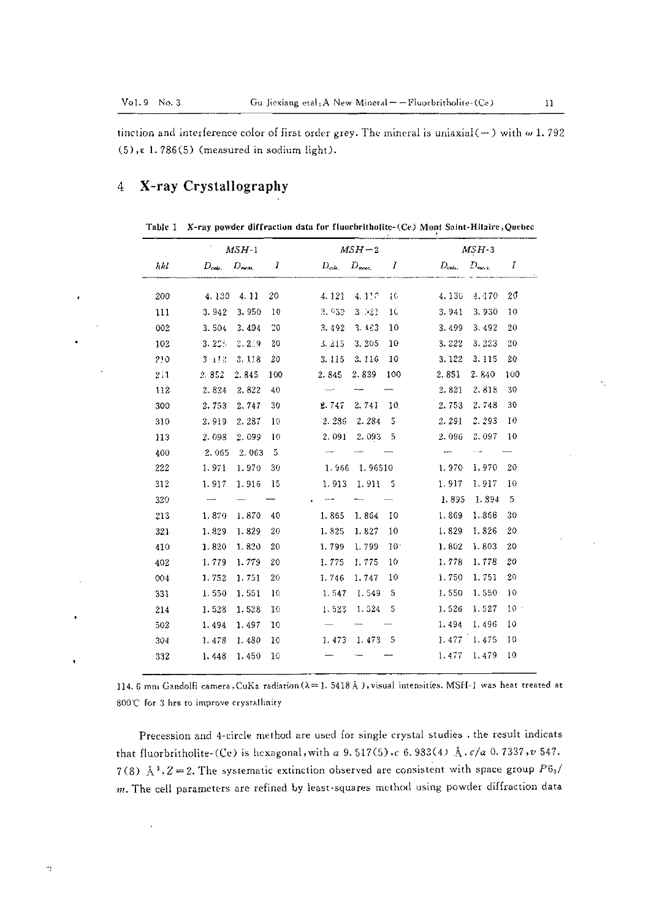$\boldsymbol{\cdot}$ 

tinction and interference color of first order grey. The mineral is uniaxial (-) with  $\omega$  1.792  $(5)$ ,  $\epsilon$  1.786(5) (measured in sodium light).

### X-ray Crystallography  $\overline{4}$

Table 1 X-ray powder diffraction data for fluorbritholite-(Ce) Mont Saint-Hilaire, Quebec

|     |             | $MSH-1$          |     | $MSH-2$    |                   |                 |                    | $MSH-3$    |         |  |
|-----|-------------|------------------|-----|------------|-------------------|-----------------|--------------------|------------|---------|--|
| hki | $D_{calc.}$ | $D_{\text{max}}$ | 1   | $D_{cabc}$ | $D_{\text{meas}}$ | 1               | $D_{\text{calc.}}$ | $D_{\max}$ | I       |  |
| 200 | 4.130       | 4.11             | 20  | 4.121      | 4.110             | 16              | 4.130              | 4.170      | $20 \,$ |  |
| 111 | 3.942       | 3.950            | 10  | 3.633      | 3 321             | 16              | 3.941              | 3.930      | 10      |  |
| 002 | 3.504       | 3.494            | 00  | 3.492      | $3 - 4.3$         | 10              | 3.499              | 3.492      | 20      |  |
| 102 | 3.22.5      | 2.2.9            | 20  | 3.215      | 3.205             | 10              | 3.222              | 3.223      | 20      |  |
| 210 | 3 112       | 3.118            | 20  | 3.115      | 3.116             | 10              | 3.122              | 3.115      | 20      |  |
| 211 | 2.852       | 2.845            | 100 | 2.845      | 2.839             | 100             | 2,851              | 2.840      | 100     |  |
| 112 | 2.824       | 2.322            | 40  |            |                   |                 | 2.821              | 2,818      | 30      |  |
| 300 | 2.753       | 2,747            | 30  | 2.747      | 2.741             | 10              | 2.753              | 2.748      | 30      |  |
| 310 | 2.919       | 2.287            | 10  | 2.286      | 2.284             | 5               | 2.291              | 2.293      | 10      |  |
| 113 | 2.098       | 2.099            | 10  | 2.091      | 2.093             | 5               | 2,096              | 2,097      | 10      |  |
| 400 | 2.065       | 2.063            | 5   |            |                   |                 |                    |            |         |  |
| 222 | 1.971       | 1.970            | 30  | 1.966      | 1.96510           |                 | 1,970              | 1,970      | 20      |  |
| 312 | 1.917       | 1.916            | 15  | 1.913      | 1.911             | 5               | 1.917              | 1,917      | 10      |  |
| 320 |             |                  |     |            |                   |                 | 1.895              | 1.894      | 5       |  |
| 213 | 1,870       | 1.870            | 40  | 1.865      | 1.864             | 10              | 1.869              | 1,868      | 30      |  |
| 321 | 1.829       | 1.829            | 20  | 1.825      | 1.827             | 10              | 1.829              | 1.826      | 20      |  |
| 410 | 1.820       | 1.820            | 20  | 1.799      | 1.799             | 10 <sup>1</sup> | 1.802              | 1.803      | 20      |  |
| 402 | 1.779       | 1.779            | 20  | 1.775      | 1.775             | 10              | 1.778              | 1,778      | 20      |  |
| 004 | 1.752       | 1.751            | 20  | 1 746      | 1.747             | 10              | 1.750              | 1,751      | 20      |  |
| 331 | 1.550       | 1.551            | 10  | 1.547      | 1.549             | 5               | 1.550              | 1.550      | 10      |  |
| 214 | 1.528       | 1.528            | 10  | 1.523      | 1.524             | 5               | 1.526              | 1.527      | $10 -$  |  |
| 502 | 1.494       | 1.497            | 10  |            |                   |                 | 1.494              | 1,496      | 10      |  |
| 304 | 1.478       | 1,480            | 10  | 1.473      | 1.473             | - 5             | 1,477              | 1.475      | 10      |  |
| 332 | 1.448       | 1.450            | 10  |            |                   |                 | 1.477              | 1.479      | 10      |  |

114. 6 mm Gandolfi camera, CuKa radiation ( $\lambda = 1$ . 5418 Å), visual intensities. MSH-I was heat treated at 800℃ for 3 hrs to improve crystallinity

Precession and 4-circle method are used for single crystal studies . the result indicats that fluorbritholite-(Ce) is hexagonal, with a 9.517(5), c 6.983(4) Å.c/a 0.7337, v 547. 7(8) Å<sup>3</sup>, Z = 2. The systematic extinction observed are consistent with space group  $P6_3/$  $m$ . The cell parameters are refined by least-squares method using powder diffraction data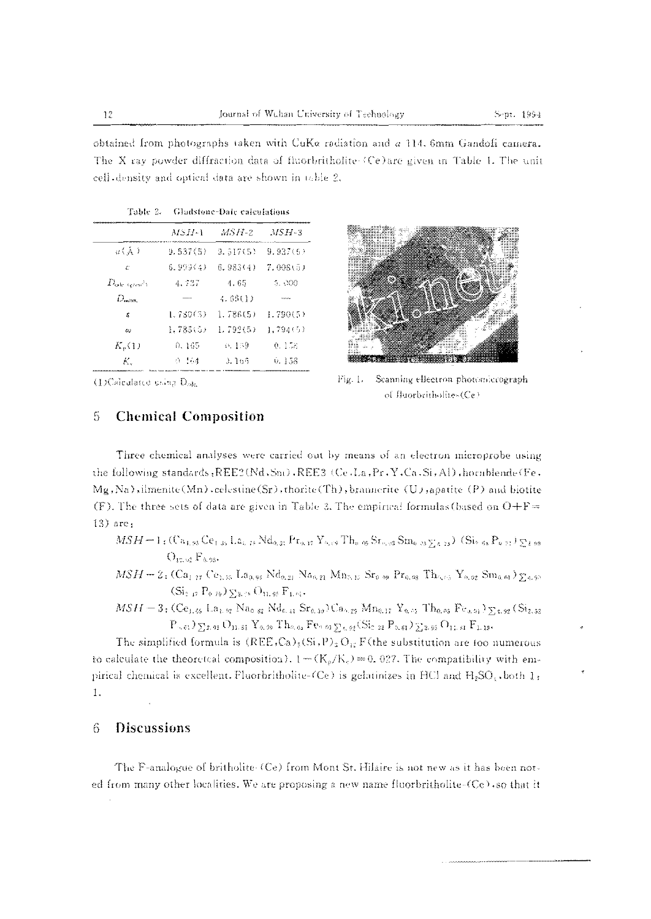obtained from photographs taken with CuKa radiation and a 114, 6mm Gandofi camera. The X ray powder diffraction data of fluorbritholite (Ce)are given in Table 1. The unit cell-density and optical data are shown in table 2.

|                      | MSH-1    | :MS H-2  | $MSE-3$         |
|----------------------|----------|----------|-----------------|
| $\cup$ (Å)           | 9.537(5) | 9.517(5) | 9.937(6)        |
| $\mathcal{L}^*$      | 6.999(4) | 6.983(4) | 7.008(5)        |
| $D_{\rm calc\_term}$ | 4.537    | 4.65     | 5.000           |
| $D_{\rm max}$        | AMAMA AR | 4.68(1)  | <b>Services</b> |
| x                    | 1.780(3) | 1.786(5) | 1.790(5)        |
| $\omega$             | 1.785(1) | 1.792(5) | 1.794(5)        |
| $K_{p}(1)$           | 0.165    | 0.159    | 0.118           |
| Κ.                   | $0 - 64$ | 3.165    | v. 158          |

Table 2. Gladstone-Date calculations



(DCalculated uning D<sub>ole</sub>

#### 5 **Chemical Composition**

Fig. 1. Seanning ellectron photomicrograph of fluorbritholite-(Ce)

Three chemical analyses were carried out by means of an electron microprobe using the following standards, REE2(Nd, Sni), REE3 (Ce, La, Pr, Y, Ca, Si, Al), hornblende(Fe, Mg, Na), ilmenite (Mn), celestine (Sr), thorite (Th), brannerite (U), apatite (P) and biotite (F). The three sets of data are given in Table 2. The empirical formulas (based on  $O + F =$  $13)$  are:

 $MSH = 1$ ; (Ca<sub>1,95</sub> Ce<sub>1,35</sub>, La<sub>2, 16</sub> Nd<sub>0,31</sub> Pr<sub>9,47</sub> Y<sub>9,19</sub> Th<sub>0.05</sub> Sr<sub>9,18</sub> Sm<sub>0</sub>, <sub>03</sub>  $\sum_{A=73}$ ) (Si<sub>2,65</sub> P<sub>9,71</sub>)  $\sum_{A=89}$  $O_{12.92} F_{0.98}$ 

 $MSH = 2$ ;  $(Ca_{1,27}$   $Ce_{1.35}$   $La_{0.96}$   $Nd_{0.21}$   $Na_{0.21}$   $Mn_{0.15}$   $Sr_{0.99}$   $Pr_{0.93}$   $Th_{6.63}$   $Y_{6.92}$   $Sm_{0.61}$   $\sum_{4.95}$  $(Si_{1.17} P_{0.79})_{\Sigma_{3.15}} O_{11.95} F_{1.95}.$ 

 $MSH = 3$ ; (Ce<sub>1, 65</sub> La<sub>1, 02</sub> Na<sub>0</sub> <sub>82</sub> Nd<sub>6, 44</sub> Sr<sub>0, 30</sub>)Ca<sub>0, 29</sub> Mn<sub>0, 17</sub> Y<sub>0</sub>, 55 Th<sub>0</sub>, 65 Fe<sub>0, 91</sub>) 5<sub>74</sub>, 92 (Si<sub>2</sub>, 32)  $P_{\sim 61})\sum_{3,93} O_{11,81} Y_{0,99} T h_{0,05} F e_{0,91} \sum_{k,92} (Si_{2,32} P_{0,61}) \sum_{3,93} O_{11,81} F_{1,19}.$ 

The simplified formula is  $(REE, Ca)_5(Si, P)_3 O_{12}F$  (the substitution are too numerous to calculate the theoreteal composition).  $1 - (K_p/K_e) = 0.027$ . The compatibility with empirical chemical is excellent. Fluorbritholite-(Ce) is gelatinizes in HCl and  $H_2SO_3$ , both 1;  $1.$ 

### **Discussions** 6

The F-analogue of britholite (Ce) from Mont St. Hilaire is not new as it has been noted from many other localities. We are proposing a new name fluorbritholite- $(Cc)$ , so that it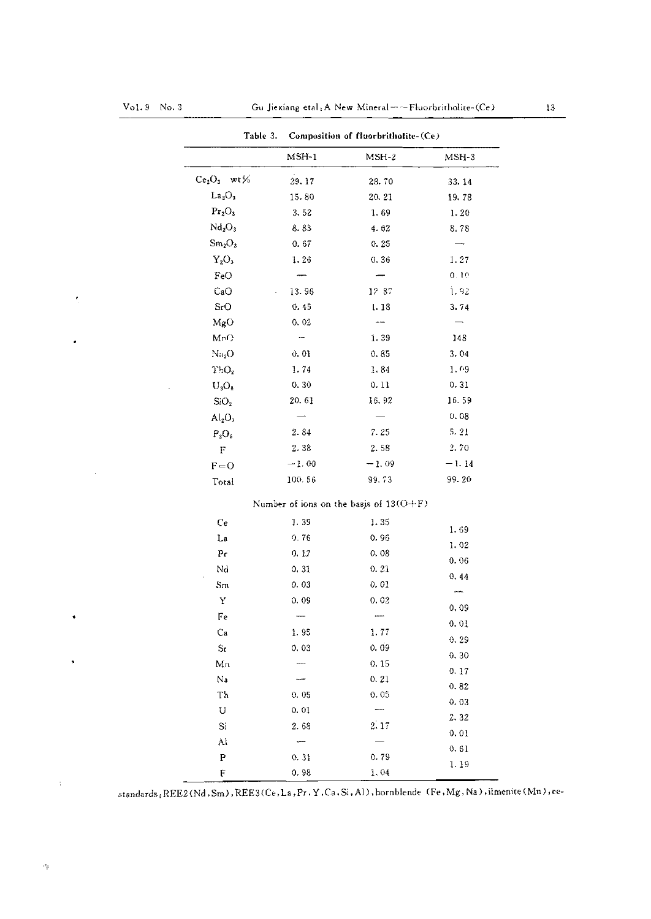### $Vol.9$  No. 3

 $\bar{\Delta}$ 

 $\tilde{\textbf{z}}$ 

.

 $\ddot{\bullet}$ 

 $\ddot{\phantom{1}}$ 

| Table 3.                       |                                            | Composition of fluorbritholite-(Ce) |         |  |  |  |
|--------------------------------|--------------------------------------------|-------------------------------------|---------|--|--|--|
|                                | $MSH-1$                                    | $MSH-2$                             | $MSH-3$ |  |  |  |
| $Ce2O3$ wt%                    | 29.17                                      | 28.70                               | 33.14   |  |  |  |
| La <sub>2</sub> O <sub>3</sub> | 15.80                                      | 20, 21                              | 19.78   |  |  |  |
| Pr <sub>2</sub> O <sub>3</sub> | 3.52                                       | 1.69                                | 1.20    |  |  |  |
| Nd <sub>2</sub> O <sub>3</sub> | 8.83                                       | 4.62                                | 8.78    |  |  |  |
| Sm <sub>2</sub> O <sub>3</sub> | 0.67                                       | 0.25                                |         |  |  |  |
| $Y_2O_3$                       | 1.26                                       | 0.36                                | 1.27    |  |  |  |
| FeO                            |                                            |                                     | 0.10    |  |  |  |
| CaO                            | 13.96                                      | 12 87                               | 1.92    |  |  |  |
| SrO                            | 0.45                                       | 1.18                                | 3.74    |  |  |  |
| MgO                            | 0.02                                       |                                     |         |  |  |  |
| Mn()                           | ÷                                          | 1.39                                | 148     |  |  |  |
| $\rm{Ni_2O}$                   | 0,01                                       | 0.85                                | 3.04    |  |  |  |
| ThO <sub>2</sub>               | 1.74                                       | 1.84                                | 1.09    |  |  |  |
| $U_3O_8$                       | 0, 30                                      | 0.11                                | 0.31    |  |  |  |
| SiO <sub>2</sub>               | 20.61                                      | 16.92                               | 16.59   |  |  |  |
| Al <sub>2</sub> O <sub>3</sub> |                                            |                                     | 0.08    |  |  |  |
| $P_2O_5$                       | 2.84                                       | 7.25                                | 5.21    |  |  |  |
| $\mathbf F$                    | 2.38                                       | 2.58                                | 2.70    |  |  |  |
| $F = 0$                        | $-1.00$                                    | $-1.09$                             | $-1.14$ |  |  |  |
| Total                          | 100.56                                     | 99.73                               | 99.20   |  |  |  |
|                                | Number of ions on the basis of $13(O + F)$ |                                     |         |  |  |  |
| Ce                             | 1.39                                       | 1.35                                |         |  |  |  |
| La                             | 0.76                                       | 0.96                                | 1.69    |  |  |  |
| P <sub>c</sub>                 | 0.17                                       | 0.08                                | 1.02    |  |  |  |
| Nd                             | 0.31                                       | 0.21                                | 0.06    |  |  |  |
| Sm                             | 0.03                                       | 0.01                                | 0, 44   |  |  |  |
| Y                              | 0.09                                       | 0.02                                |         |  |  |  |
| Fe                             |                                            |                                     | 0.09    |  |  |  |
| Сa                             | 1.95                                       | 1.77                                | 0.01    |  |  |  |
| $S_{\mathbf{C}}$               | 0.03                                       | 0, 09                               | 0.29    |  |  |  |
| Mn                             |                                            | 0.15                                | 0, 30   |  |  |  |
| Na                             |                                            | 0.21                                | 0.17    |  |  |  |
| Th                             | 0.05                                       | 0.05                                | 0.82    |  |  |  |
| U                              | 0.01                                       | $\qquad \qquad$                     | 0.03    |  |  |  |
| $\rm Si$                       | 2.68                                       | 2:17                                | 2.32    |  |  |  |
| Al                             |                                            |                                     | 0.01    |  |  |  |
| P                              | 0.31                                       | 0.79                                | 0.61    |  |  |  |
| F                              | 0.98                                       | 1,04                                | 1.19    |  |  |  |

standards: REE2(Nd, Sm), REE3(Ce, La, Pr, Y, Ca, Si, Al), hornblende (Fe, Mg, Na), ilmenite (Mn), ce-

 $\frac{1}{3}$